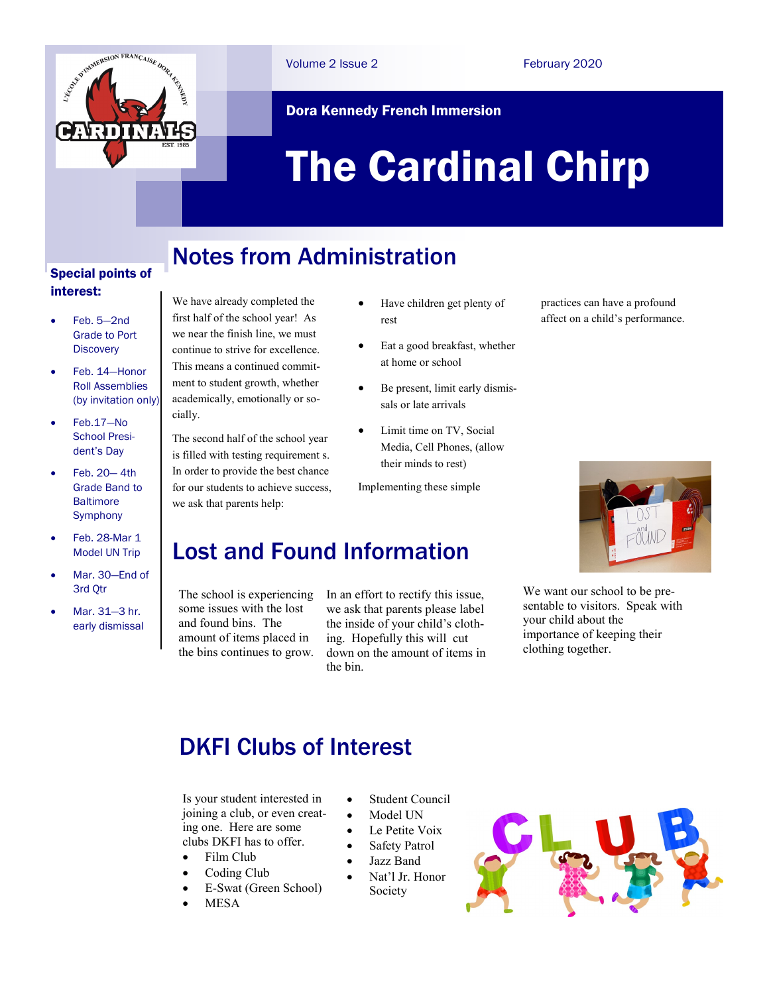

Volume 2 Issue 2 February 2020

#### Dora Kennedy French Immersion

# The Cardinal Chirp

### Notes from Administration

#### Special points of interest:

- Feb. 5—2nd Grade to Port **Discovery**
- Feb. 14—Honor Roll Assemblies (by invitation only)
- Feb.17—No School President's Day
- Feb. 20— 4th Grade Band to **Baltimore Symphony**
- Feb. 28-Mar 1 Model UN Trip
- Mar. 30—End of 3rd Qtr
- Mar. 31—3 hr. early dismissal

We have already completed the first half of the school year! As we near the finish line, we must continue to strive for excellence. This means a continued commitment to student growth, whether academically, emotionally or socially.

The second half of the school year is filled with testing requirement s. In order to provide the best chance for our students to achieve success, we ask that parents help:

- Have children get plenty of rest
- Eat a good breakfast, whether at home or school
- Be present, limit early dismissals or late arrivals
- Limit time on TV, Social Media, Cell Phones, (allow their minds to rest)

Implementing these simple

#### Lost and Found Information

The school is experiencing some issues with the lost and found bins. The amount of items placed in the bins continues to grow.

In an effort to rectify this issue, we ask that parents please label the inside of your child's clothing. Hopefully this will cut down on the amount of items in the bin.

practices can have a profound affect on a child's performance.



We want our school to be presentable to visitors. Speak with your child about the importance of keeping their clothing together.

#### DKFI Clubs of Interest

Is your student interested in joining a club, or even creating one. Here are some clubs DKFI has to offer.

- Film Club
- Coding Club
- E-Swat (Green School)
- MESA
- Student Council
- Model UN
- Le Petite Voix
- Safety Patrol
- Jazz Band
- Nat'l Jr. Honor Society

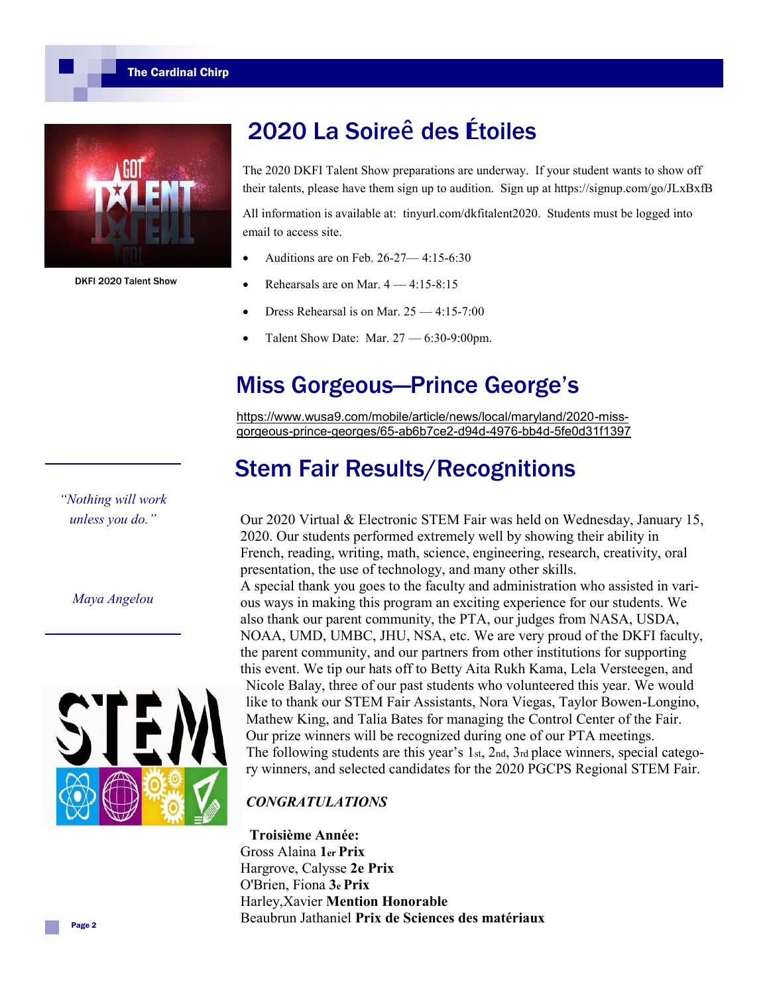The Cardinal Chirp



DKFI 2020 Talent Show

*"Nothing will work unless you do."* 

*Maya Angelou*

## 2020 La Soireê des **É**toiles

The 2020 DKFI Talent Show preparations are underway. If your student wants to show off their talents, please have them sign up to audition. Sign up at https://signup.com/go/JLxBxfB

All information is available at: tinyurl.com/dkfitalent2020. Students must be logged into email to access site.

- Auditions are on Feb. 26-27— 4:15-6:30
- Rehearsals are on Mar. 4 4:15-8:15
- Dress Rehearsal is on Mar. 25 4:15-7:00
- Talent Show Date: Mar. 27 6:30-9:00pm.

## Miss Gorgeous—Prince George's

[https://www.wusa9.com/mobile/article/news/local/maryland/2020](https://www.wusa9.com/mobile/article/news/local/maryland/2020-miss-gorgeous-prince-georges/65-ab6b7ce2-d94d-4976-bb4d-5fe0d31f1397)-missgorgeous-prince-georges/65-ab6b7ce2-d94d-4976-bb4d-[5fe0d31f1397](https://www.wusa9.com/mobile/article/news/local/maryland/2020-miss-gorgeous-prince-georges/65-ab6b7ce2-d94d-4976-bb4d-5fe0d31f1397)

## Stem Fair Results/Recognitions

Our 2020 Virtual & Electronic STEM Fair was held on Wednesday, January 15, 2020. Our students performed extremely well by showing their ability in French, reading, writing, math, science, engineering, research, creativity, oral presentation, the use of technology, and many other skills. A special thank you goes to the faculty and administration who assisted in various ways in making this program an exciting experience for our students. We also thank our parent community, the PTA, our judges from NASA, USDA, NOAA, UMD, UMBC, JHU, NSA, etc. We are very proud of the DKFI faculty, the parent community, and our partners from other institutions for supporting this event. We tip our hats off to Betty Aita Rukh Kama, Lela Versteegen, and Nicole Balay, three of our past students who volunteered this year. We would like to thank our STEM Fair Assistants, Nora Viegas, Taylor Bowen-Longino, Mathew King, and Talia Bates for managing the Control Center of the Fair. Our prize winners will be recognized during one of our PTA meetings. The following students are this year's 1st, 2nd, 3rd place winners, special category winners, and selected candidates for the 2020 PGCPS Regional STEM Fair.

#### *CONGRATULATIONS*

**Troisième Année:**  Gross Alaina **1er Prix**  Hargrove, Calysse **2e Prix**  O'Brien, Fiona **3e Prix**  Harley,Xavier **Mention Honorable**  Beaubrun Jathaniel **Prix de Sciences des matériaux**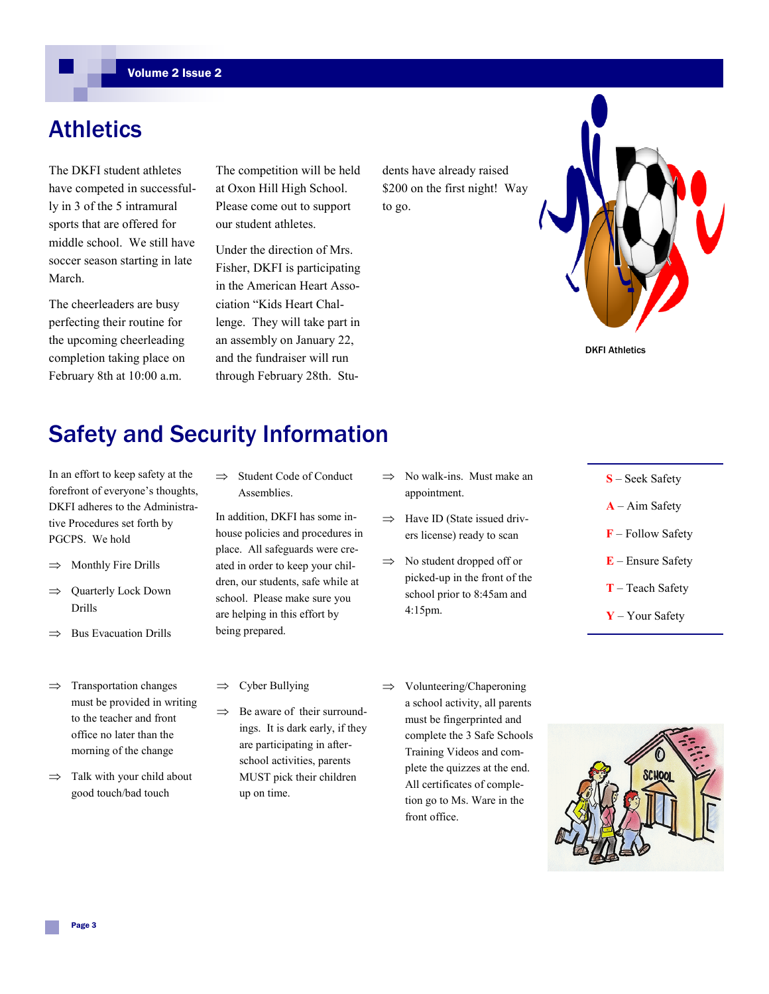### Athletics

The DKFI student athletes have competed in successfully in 3 of the 5 intramural sports that are offered for middle school. We still have soccer season starting in late March.

The cheerleaders are busy perfecting their routine for the upcoming cheerleading completion taking place on February 8th at 10:00 a.m.

The competition will be held at Oxon Hill High School. Please come out to support our student athletes.

Under the direction of Mrs. Fisher, DKFI is participating in the American Heart Association "Kids Heart Challenge. They will take part in an assembly on January 22, and the fundraiser will run through February 28th. Students have already raised \$200 on the first night! Way to go.



DKFI Athletics

# Safety and Security Information

In an effort to keep safety at the forefront of everyone's thoughts, DKFI adheres to the Administrative Procedures set forth by PGCPS. We hold

- $\Rightarrow$  Monthly Fire Drills
- $\Rightarrow$  Quarterly Lock Down Drills
- $\Rightarrow$  Bus Evacuation Drills
- $\implies$  Transportation changes must be provided in writing to the teacher and front office no later than the morning of the change
- $\Rightarrow$  Talk with your child about good touch/bad touch

 $\implies$  Student Code of Conduct Assemblies.

In addition, DKFI has some inhouse policies and procedures in place. All safeguards were created in order to keep your children, our students, safe while at school. Please make sure you are helping in this effort by being prepared.

 $\Rightarrow$  Be aware of their surroundings. It is dark early, if they are participating in afterschool activities, parents MUST pick their children

 $\Rightarrow$  Cyber Bullying

up on time.

- No walk-ins. Must make an appointment.
- $\Rightarrow$  Have ID (State issued drivers license) ready to scan
- $\implies$  No student dropped off or picked-up in the front of the school prior to 8:45am and 4:15pm.
- $\implies$  Volunteering/Chaperoning a school activity, all parents must be fingerprinted and complete the 3 Safe Schools Training Videos and complete the quizzes at the end. All certificates of completion go to Ms. Ware in the front office.
- **S** Seek Safety
- **A** Aim Safety
- **F** Follow Safety
- **E** Ensure Safety
- **T** Teach Safety
- **Y** Your Safety